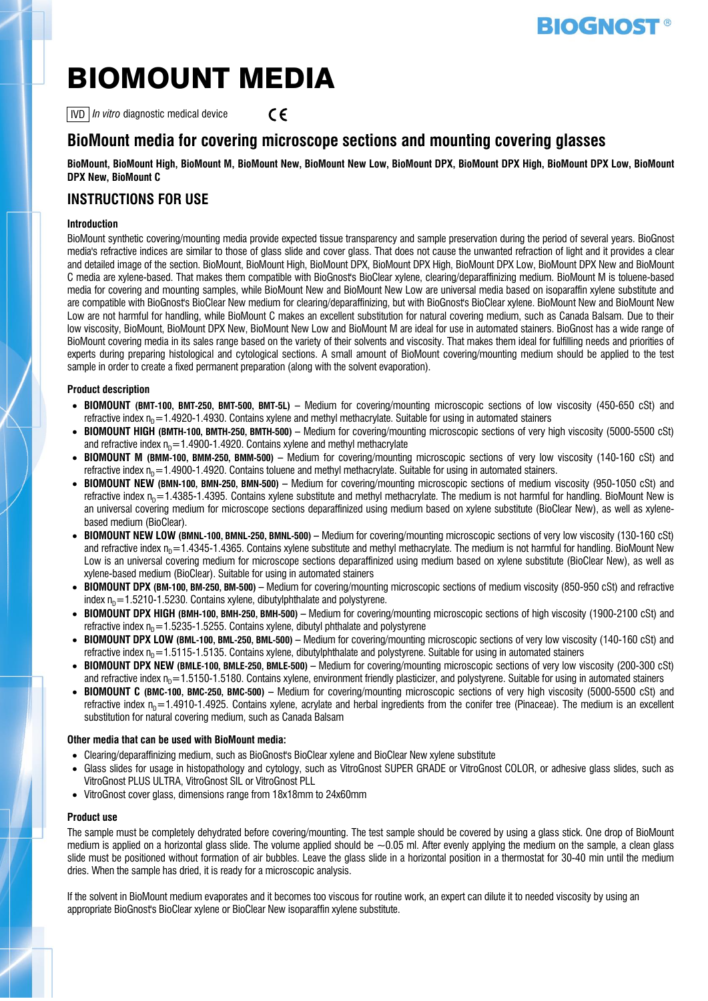# **BIOGNOST**

# BIOMOUNT MEDIA

IVD *In vitro* diagnostic medical device  $\epsilon$ 

## **BioMount media for covering microscope sections and mounting covering glasses**

#### **BioMount, BioMount High, BioMount M, BioMount New, BioMount New Low, BioMount DPX, BioMount DPX High, BioMount DPX Low, BioMount DPX New, BioMount C**

### **INSTRUCTIONS FOR USE**

#### **Introduction**

BioMount synthetic covering/mounting media provide expected tissue transparency and sample preservation during the period of several years. BioGnost media's refractive indices are similar to those of glass slide and cover glass. That does not cause the unwanted refraction of light and it provides a clear and detailed image of the section. BioMount, BioMount High, BioMount DPX, BioMount DPX High, BioMount DPX Low, BioMount DPX New and BioMount C media are xylene-based. That makes them compatible with BioGnost's BioClear xylene, clearing/deparaffinizing medium. BioMount M is toluene-based media for covering and mounting samples, while BioMount New and BioMount New Low are universal media based on isoparaffin xylene substitute and are compatible with BioGnost's BioClear New medium for clearing/deparaffinizing, but with BioGnost's BioClear xylene. BioMount New and BioMount New Low are not harmful for handling, while BioMount C makes an excellent substitution for natural covering medium, such as Canada Balsam. Due to their low viscosity, BioMount, BioMount DPX New, BioMount New Low and BioMount M are ideal for use in automated stainers. BioGnost has a wide range of BioMount covering media in its sales range based on the variety of their solvents and viscosity. That makes them ideal for fulfilling needs and priorities of experts during preparing histological and cytological sections. A small amount of BioMount covering/mounting medium should be applied to the test sample in order to create a fixed permanent preparation (along with the solvent evaporation).

#### **Product description**

- **BIOMOUNT (BMT-100, BMT-250, BMT-500, BMT-5L) –** Medium for covering/mounting microscopic sections of low viscosity (450-650 cSt) and refractive index  $n_P$ =1.4920-1.4930. Contains xylene and methyl methacrylate. Suitable for using in automated stainers
- **BIOMOUNT HIGH (BMTH-100, BMTH-250, BMTH-500) –** Medium for covering/mounting microscopic sections of very high viscosity (5000-5500 cSt) and refractive index  $n_p=1.4900-1.4920$ . Contains xylene and methyl methacrylate
- **BIOMOUNT M (BMM-100, BMM-250, BMM-500) –** Medium for covering/mounting microscopic sections of very low viscosity (140-160 cSt) and refractive index  $n_D = 1.4900 - 1.4920$ . Contains toluene and methyl methacrylate. Suitable for using in automated stainers.
- **BIOMOUNT NEW (BMN-100, BMN-250, BMN-500) –** Medium for covering/mounting microscopic sections of medium viscosity (950-1050 cSt) and refractive index  $n_p=1.4385$ -1.4395. Contains xylene substitute and methyl methacrylate. The medium is not harmful for handling. BioMount New is an universal covering medium for microscope sections deparaffinized using medium based on xylene substitute (BioClear New), as well as xylenebased medium (BioClear).
- **BIOMOUNT NEW LOW (BMNL-100, BMNL-250, BMNL-500) –** Medium for covering/mounting microscopic sections of very low viscosity (130-160 cSt) and refractive index  $n_p$ =1.4345-1.4365. Contains xylene substitute and methyl methacrylate. The medium is not harmful for handling. BioMount New Low is an universal covering medium for microscope sections deparaffinized using medium based on xylene substitute (BioClear New), as well as xylene-based medium (BioClear). Suitable for using in automated stainers
- **BIOMOUNT DPX (BM-100, BM-250, BM-500) –** Medium for covering/mounting microscopic sections of medium viscosity (850-950 cSt) and refractive index  $n_p=1.5210-1.5230$ . Contains xylene, dibutylphthalate and polystyrene.
- **BIOMOUNT DPX HIGH (BMH-100, BMH-250, BMH-500) –** Medium for covering/mounting microscopic sections of high viscosity (1900-2100 cSt) and refractive index  $n_0$  = 1.5235-1.5255. Contains xylene, dibutyl phthalate and polystyrene
- **BIOMOUNT DPX LOW (BML-100, BML-250, BML-500) –** Medium for covering/mounting microscopic sections of very low viscosity (140-160 cSt) and refractive index  $n_p=1.5115-1.5135$ . Contains xylene, dibutylphthalate and polystyrene. Suitable for using in automated stainers
- **BIOMOUNT DPX NEW (BMLE-100, BMLE-250, BMLE-500) –** Medium for covering/mounting microscopic sections of very low viscosity (200-300 cSt) and refractive index  $n<sub>0</sub> = 1.5150-1.5180$ . Contains xylene, environment friendly plasticizer, and polystyrene. Suitable for using in automated stainers
- **BIOMOUNT C (BMC-100, BMC-250, BMC-500) –** Medium for covering/mounting microscopic sections of very high viscosity (5000-5500 cSt) and refractive index  $n_e$ =1.4910-1.4925. Contains xylene, acrylate and herbal ingredients from the conifer tree (Pinaceae). The medium is an excellent substitution for natural covering medium, such as Canada Balsam

#### **Other media that can be used with BioMount media:**

- Clearing/deparaffinizing medium, such as BioGnost's BioClear xylene and BioClear New xylene substitute
- Glass slides for usage in histopathology and cytology, such as VitroGnost SUPER GRADE or VitroGnost COLOR, or adhesive glass slides, such as VitroGnost PLUS ULTRA, VitroGnost SIL or VitroGnost PLL
- VitroGnost cover glass, dimensions range from 18x18mm to 24x60mm

#### **Product use**

The sample must be completely dehydrated before covering/mounting. The test sample should be covered by using a glass stick. One drop of BioMount medium is applied on a horizontal glass slide. The volume applied should be  $\sim 0.05$  ml. After evenly applying the medium on the sample, a clean glass slide must be positioned without formation of air bubbles. Leave the glass slide in a horizontal position in a thermostat for 30-40 min until the medium dries. When the sample has dried, it is ready for a microscopic analysis.

If the solvent in BioMount medium evaporates and it becomes too viscous for routine work, an expert can dilute it to needed viscosity by using an appropriate BioGnost's BioClear xylene or BioClear New isoparaffin xylene substitute.